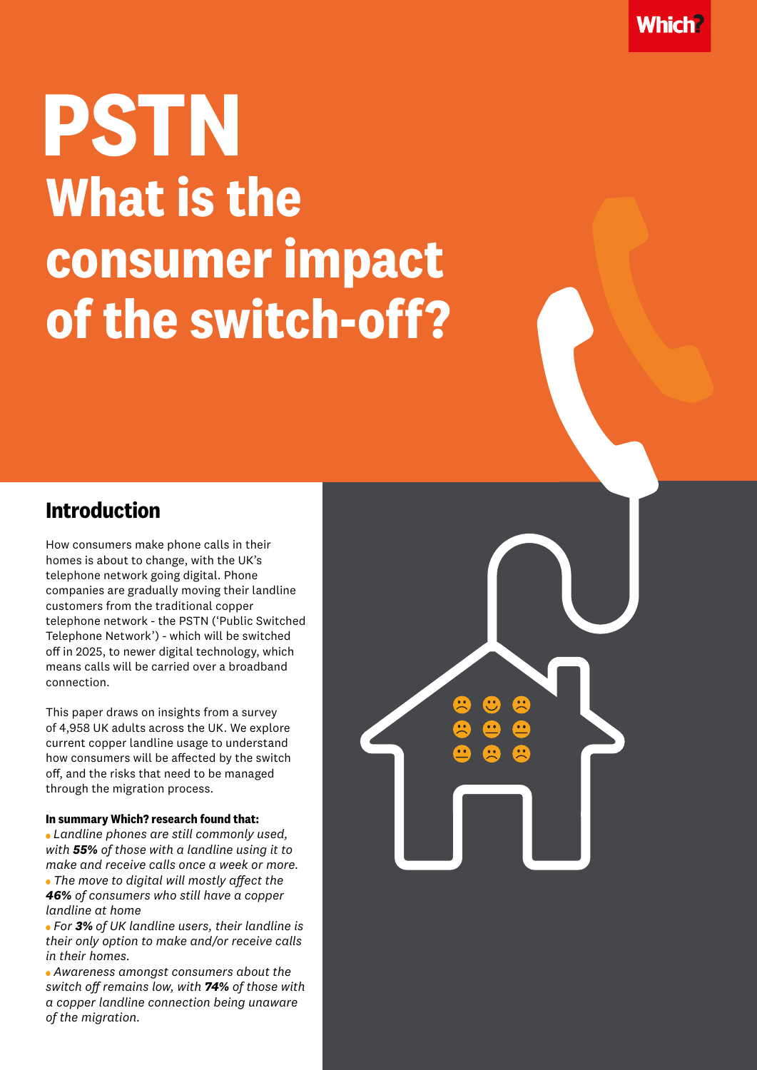# **PSTN What is the consumer impact of the switch-off?**

#### **Introduction**

How consumers make phone calls in their homes is about to change, with the UK's telephone network going digital. Phone companies are gradually moving their landline customers from the traditional copper telephone network - the PSTN ('Public Switched Telephone Network') - which will be switched off in 2025, to newer digital technology, which means calls will be carried over a broadband connection.

This paper draws on insights from a survey of 4,958 UK adults across the UK. We explore current copper landline usage to understand how consumers will be affected by the switch off, and the risks that need to be managed through the migration process.

#### **In summary Which? research found that:**

*Landline phones are still commonly used, with 55% of those with a landline using it to make and receive calls once a week or more. The move to digital will mostly affect the 46% of consumers who still have a copper landline at home*

 *For 3% of UK landline users, their landline is their only option to make and/or receive calls in their homes.* 

 *Awareness amongst consumers about the switch off remains low, with 74% of those with a copper landline connection being unaware of the migration.*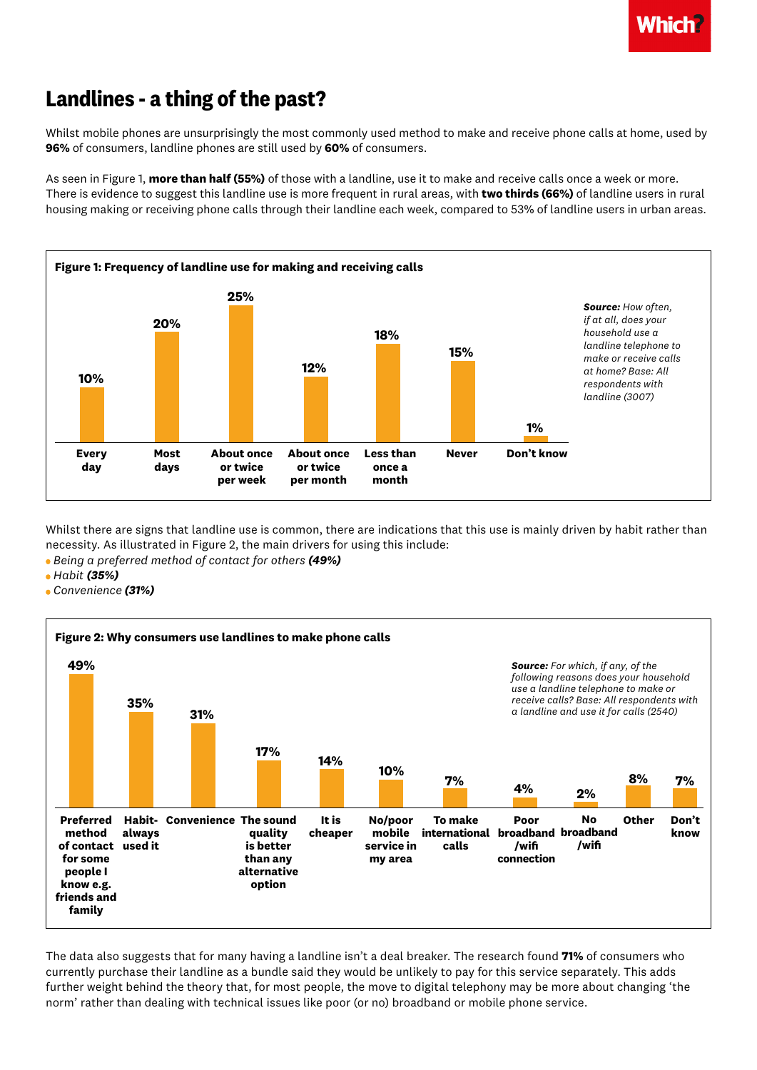

## **Landlines - a thing of the past?**

Whilst mobile phones are unsurprisingly the most commonly used method to make and receive phone calls at home, used by **96%** of consumers, landline phones are still used by **60%** of consumers.

As seen in Figure 1, **more than half (55%)** of those with a landline, use it to make and receive calls once a week or more. There is evidence to suggest this landline use is more frequent in rural areas, with **two thirds (66%)** of landline users in rural housing making or receiving phone calls through their landline each week, compared to 53% of landline users in urban areas.



Whilst there are signs that landline use is common, there are indications that this use is mainly driven by habit rather than necessity. As illustrated in Figure 2, the main drivers for using this include:

 *Being a preferred method of contact for others (49%)*

- *Habit (35%)*
- *Convenience (31%)*



The data also suggests that for many having a landline isn't a deal breaker. The research found **71%** of consumers who currently purchase their landline as a bundle said they would be unlikely to pay for this service separately. This adds further weight behind the theory that, for most people, the move to digital telephony may be more about changing 'the norm' rather than dealing with technical issues like poor (or no) broadband or mobile phone service.